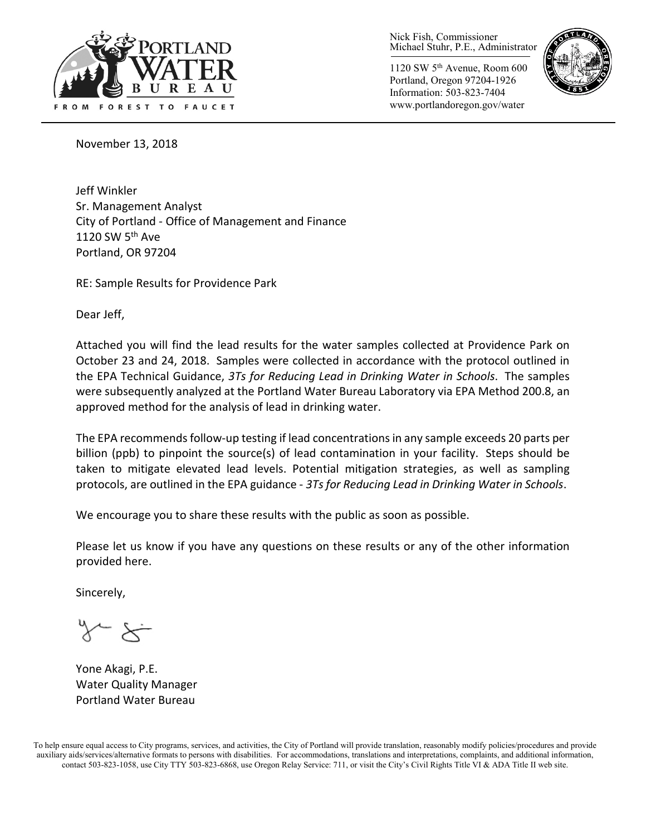

Nick Fish, Commissioner Michael Stuhr, P.E., Administrator

1120 SW 5th Avenue, Room 600 Portland, Oregon 97204-1926 Information: 503-823-7404 www.portlandoregon.gov/water



November 13, 2018

Jeff Winkler Sr. Management Analyst City of Portland - Office of Management and Finance 1120 SW  $5<sup>th</sup>$  Ave Portland, OR 97204

RE: Sample Results for Providence Park

Dear Jeff,

Attached you will find the lead results for the water samples collected at Providence Park on October 23 and 24, 2018. Samples were collected in accordance with the protocol outlined in the EPA Technical Guidance, *3Ts for Reducing Lead in Drinking Water in Schools*. The samples were subsequently analyzed at the Portland Water Bureau Laboratory via EPA Method 200.8, an approved method for the analysis of lead in drinking water.

The EPA recommends follow-up testing if lead concentrations in any sample exceeds 20 parts per billion (ppb) to pinpoint the source(s) of lead contamination in your facility. Steps should be taken to mitigate elevated lead levels. Potential mitigation strategies, as well as sampling protocols, are outlined in the EPA guidance - *3Ts for Reducing Lead in Drinking Water in Schools*.

We encourage you to share these results with the public as soon as possible.

Please let us know if you have any questions on these results or any of the other information provided here.

Sincerely,

Yone Akagi, P.E. Water Quality Manager Portland Water Bureau

To help ensure equal access to City programs, services, and activities, the City of Portland will provide translation, reasonably modify policies/procedures and provide auxiliary aids/services/alternative formats to persons with disabilities. For accommodations, translations and interpretations, complaints, and additional information, contact 503-823-1058, use City TTY 503-823-6868, use Oregon Relay Service: 711, or visi[t the City's Civil Rights Title VI & ADA Title II web site.](http://www.portlandoregon.gov/oehr/66458)